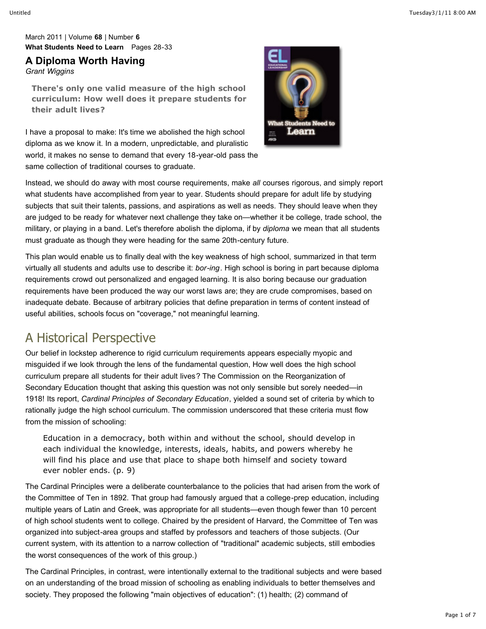March 2011 | Volume **68** | Number **6 What Students Need to Learn** Pages 28-33

#### **A Diploma Worth Having** *Grant Wiggins*

**There's only one valid measure of the high school curriculum: How well does it prepare students for their adult lives?**

I have a proposal to make: It's time we abolished the high school diploma as we know it. In a modern, unpredictable, and pluralistic world, it makes no sense to demand that every 18-year-old pass the same collection of traditional courses to graduate.



Instead, we should do away with most course requirements, make *all* courses rigorous, and simply report what students have accomplished from year to year. Students should prepare for adult life by studying subjects that suit their talents, passions, and aspirations as well as needs. They should leave when they are judged to be ready for whatever next challenge they take on—whether it be college, trade school, the military, or playing in a band. Let's therefore abolish the diploma, if by *diploma* we mean that all students must graduate as though they were heading for the same 20th-century future.

This plan would enable us to finally deal with the key weakness of high school, summarized in that term virtually all students and adults use to describe it: *bor-ing*. High school is boring in part because diploma requirements crowd out personalized and engaged learning. It is also boring because our graduation requirements have been produced the way our worst laws are; they are crude compromises, based on inadequate debate. Because of arbitrary policies that define preparation in terms of content instead of useful abilities, schools focus on "coverage," not meaningful learning.

## A Historical Perspective

Our belief in lockstep adherence to rigid curriculum requirements appears especially myopic and misguided if we look through the lens of the fundamental question, How well does the high school curriculum prepare all students for their adult lives? The Commission on the Reorganization of Secondary Education thought that asking this question was not only sensible but sorely needed—in 1918! Its report, *Cardinal Principles of Secondary Education*, yielded a sound set of criteria by which to rationally judge the high school curriculum. The commission underscored that these criteria must flow from the mission of schooling:

Education in a democracy, both within and without the school, should develop in each individual the knowledge, interests, ideals, habits, and powers whereby he will find his place and use that place to shape both himself and society toward ever nobler ends. (p. 9)

The Cardinal Principles were a deliberate counterbalance to the policies that had arisen from the work of the Committee of Ten in 1892. That group had famously argued that a college-prep education, including multiple years of Latin and Greek, was appropriate for all students—even though fewer than 10 percent of high school students went to college. Chaired by the president of Harvard, the Committee of Ten was organized into subject-area groups and staffed by professors and teachers of those subjects. (Our current system, with its attention to a narrow collection of "traditional" academic subjects, still embodies the worst consequences of the work of this group.)

The Cardinal Principles, in contrast, were intentionally external to the traditional subjects and were based on an understanding of the broad mission of schooling as enabling individuals to better themselves and society. They proposed the following "main objectives of education": (1) health; (2) command of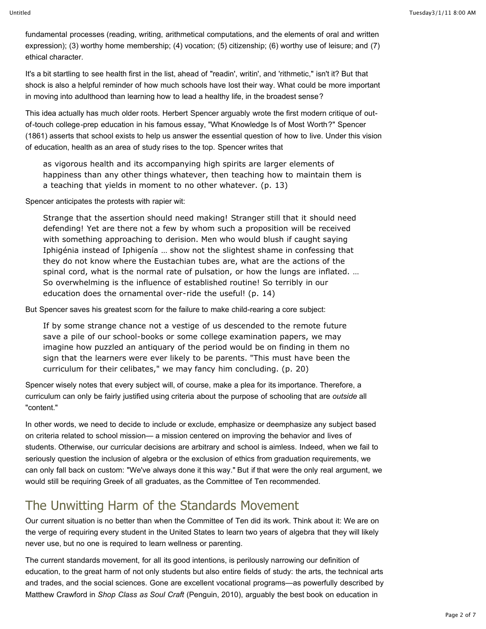fundamental processes (reading, writing, arithmetical computations, and the elements of oral and written expression); (3) worthy home membership; (4) vocation; (5) citizenship; (6) worthy use of leisure; and (7) ethical character.

It's a bit startling to see health first in the list, ahead of "readin', writin', and 'rithmetic," isn't it? But that shock is also a helpful reminder of how much schools have lost their way. What could be more important in moving into adulthood than learning how to lead a healthy life, in the broadest sense?

This idea actually has much older roots. Herbert Spencer arguably wrote the first modern critique of outof-touch college-prep education in his famous essay, "What Knowledge Is of Most Worth?" Spencer (1861) asserts that school exists to help us answer the essential question of how to live. Under this vision of education, health as an area of study rises to the top. Spencer writes that

as vigorous health and its accompanying high spirits are larger elements of happiness than any other things whatever, then teaching how to maintain them is a teaching that yields in moment to no other whatever. (p. 13)

Spencer anticipates the protests with rapier wit:

Strange that the assertion should need making! Stranger still that it should need defending! Yet are there not a few by whom such a proposition will be received with something approaching to derision. Men who would blush if caught saying Iphigénia instead of Iphigenía … show not the slightest shame in confessing that they do not know where the Eustachian tubes are, what are the actions of the spinal cord, what is the normal rate of pulsation, or how the lungs are inflated. … So overwhelming is the influence of established routine! So terribly in our education does the ornamental over-ride the useful! (p. 14)

But Spencer saves his greatest scorn for the failure to make child-rearing a core subject:

If by some strange chance not a vestige of us descended to the remote future save a pile of our school-books or some college examination papers, we may imagine how puzzled an antiquary of the period would be on finding in them no sign that the learners were ever likely to be parents. "This must have been the curriculum for their celibates," we may fancy him concluding. (p. 20)

Spencer wisely notes that every subject will, of course, make a plea for its importance. Therefore, a curriculum can only be fairly justified using criteria about the purpose of schooling that are *outside* all "content."

In other words, we need to decide to include or exclude, emphasize or deemphasize any subject based on criteria related to school mission— a mission centered on improving the behavior and lives of students. Otherwise, our curricular decisions are arbitrary and school is aimless. Indeed, when we fail to seriously question the inclusion of algebra or the exclusion of ethics from graduation requirements, we can only fall back on custom: "We've always done it this way." But if that were the only real argument, we would still be requiring Greek of all graduates, as the Committee of Ten recommended.

## The Unwitting Harm of the Standards Movement

Our current situation is no better than when the Committee of Ten did its work. Think about it: We are on the verge of requiring every student in the United States to learn two years of algebra that they will likely never use, but no one is required to learn wellness or parenting.

The current standards movement, for all its good intentions, is perilously narrowing our definition of education, to the great harm of not only students but also entire fields of study: the arts, the technical arts and trades, and the social sciences. Gone are excellent vocational programs—as powerfully described by Matthew Crawford in *Shop Class as Soul Craft* (Penguin, 2010), arguably the best book on education in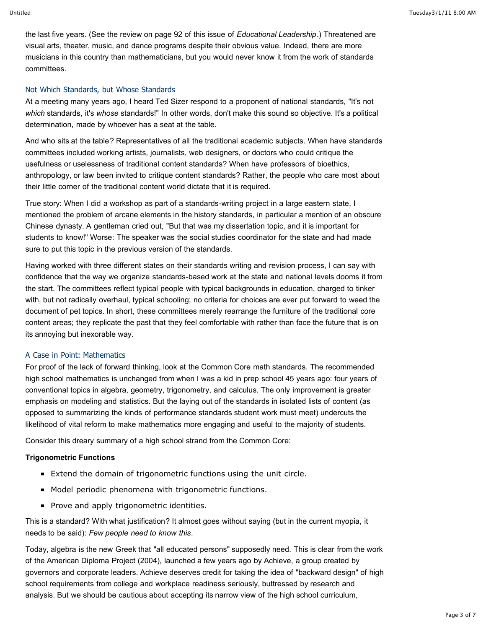the last five years. (See the review on page 92 of this issue of *Educational Leadership*.) Threatened are visual arts, theater, music, and dance programs despite their obvious value. Indeed, there are more musicians in this country than mathematicians, but you would never know it from the work of standards committees.

#### Not Which Standards, but Whose Standards

At a meeting many years ago, I heard Ted Sizer respond to a proponent of national standards, "It's not *which* standards, it's *whose* standards!" In other words, don't make this sound so objective. It's a political determination, made by whoever has a seat at the table.

And who sits at the table? Representatives of all the traditional academic subjects. When have standards committees included working artists, journalists, web designers, or doctors who could critique the usefulness or uselessness of traditional content standards? When have professors of bioethics, anthropology, or law been invited to critique content standards? Rather, the people who care most about their little corner of the traditional content world dictate that it is required.

True story: When I did a workshop as part of a standards-writing project in a large eastern state, I mentioned the problem of arcane elements in the history standards, in particular a mention of an obscure Chinese dynasty. A gentleman cried out, "But that was my dissertation topic, and it is important for students to know!" Worse: The speaker was the social studies coordinator for the state and had made sure to put this topic in the previous version of the standards.

Having worked with three different states on their standards writing and revision process, I can say with confidence that the way we organize standards-based work at the state and national levels dooms it from the start. The committees reflect typical people with typical backgrounds in education, charged to tinker with, but not radically overhaul, typical schooling; no criteria for choices are ever put forward to weed the document of pet topics. In short, these committees merely rearrange the furniture of the traditional core content areas; they replicate the past that they feel comfortable with rather than face the future that is on its annoying but inexorable way.

#### A Case in Point: Mathematics

For proof of the lack of forward thinking, look at the Common Core math standards. The recommended high school mathematics is unchanged from when I was a kid in prep school 45 years ago: four years of conventional topics in algebra, geometry, trigonometry, and calculus. The only improvement is greater emphasis on modeling and statistics. But the laying out of the standards in isolated lists of content (as opposed to summarizing the kinds of performance standards student work must meet) undercuts the likelihood of vital reform to make mathematics more engaging and useful to the majority of students.

Consider this dreary summary of a high school strand from the Common Core:

#### **Trigonometric Functions**

- Extend the domain of trigonometric functions using the unit circle.
- Model periodic phenomena with trigonometric functions.
- **Prove and apply trigonometric identities.**

This is a standard? With what justification? It almost goes without saying (but in the current myopia, it needs to be said): *Few people need to know this*.

Today, algebra is the new Greek that "all educated persons" supposedly need. This is clear from the work of the American Diploma Project (2004), launched a few years ago by Achieve, a group created by governors and corporate leaders. Achieve deserves credit for taking the idea of "backward design" of high school requirements from college and workplace readiness seriously, buttressed by research and analysis. But we should be cautious about accepting its narrow view of the high school curriculum,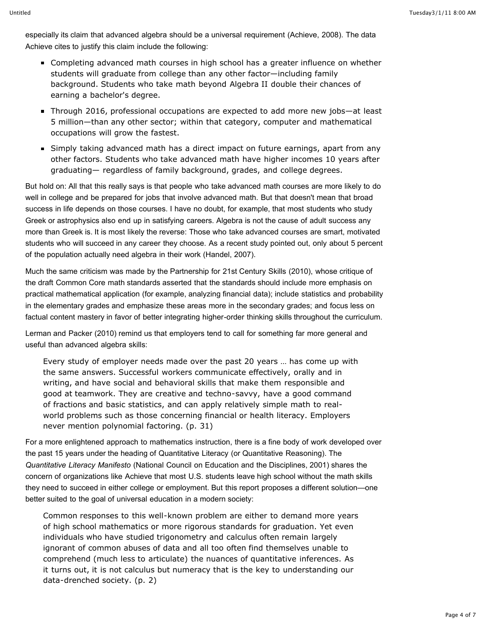especially its claim that advanced algebra should be a universal requirement (Achieve, 2008). The data Achieve cites to justify this claim include the following:

- Completing advanced math courses in high school has a greater influence on whether students will graduate from college than any other factor—including family background. Students who take math beyond Algebra II double their chances of earning a bachelor's degree.
- Through 2016, professional occupations are expected to add more new jobs—at least 5 million—than any other sector; within that category, computer and mathematical occupations will grow the fastest.
- Simply taking advanced math has a direct impact on future earnings, apart from any other factors. Students who take advanced math have higher incomes 10 years after graduating— regardless of family background, grades, and college degrees.

But hold on: All that this really says is that people who take advanced math courses are more likely to do well in college and be prepared for jobs that involve advanced math. But that doesn't mean that broad success in life depends on those courses. I have no doubt, for example, that most students who study Greek or astrophysics also end up in satisfying careers. Algebra is not the cause of adult success any more than Greek is. It is most likely the reverse: Those who take advanced courses are smart, motivated students who will succeed in any career they choose. As a recent study pointed out, only about 5 percent of the population actually need algebra in their work (Handel, 2007).

Much the same criticism was made by the Partnership for 21st Century Skills (2010), whose critique of the draft Common Core math standards asserted that the standards should include more emphasis on practical mathematical application (for example, analyzing financial data); include statistics and probability in the elementary grades and emphasize these areas more in the secondary grades; and focus less on factual content mastery in favor of better integrating higher-order thinking skills throughout the curriculum.

Lerman and Packer (2010) remind us that employers tend to call for something far more general and useful than advanced algebra skills:

Every study of employer needs made over the past 20 years … has come up with the same answers. Successful workers communicate effectively, orally and in writing, and have social and behavioral skills that make them responsible and good at teamwork. They are creative and techno-savvy, have a good command of fractions and basic statistics, and can apply relatively simple math to realworld problems such as those concerning financial or health literacy. Employers never mention polynomial factoring. (p. 31)

For a more enlightened approach to mathematics instruction, there is a fine body of work developed over the past 15 years under the heading of Quantitative Literacy (or Quantitative Reasoning). The *Quantitative Literacy Manifesto* (National Council on Education and the Disciplines, 2001) shares the concern of organizations like Achieve that most U.S. students leave high school without the math skills they need to succeed in either college or employment. But this report proposes a different solution—one better suited to the goal of universal education in a modern society:

Common responses to this well-known problem are either to demand more years of high school mathematics or more rigorous standards for graduation. Yet even individuals who have studied trigonometry and calculus often remain largely ignorant of common abuses of data and all too often find themselves unable to comprehend (much less to articulate) the nuances of quantitative inferences. As it turns out, it is not calculus but numeracy that is the key to understanding our data-drenched society. (p. 2)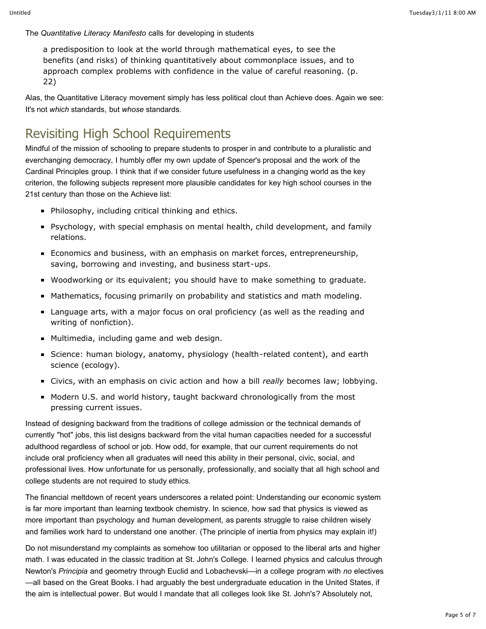The *Quantitative Literacy Manifesto* calls for developing in students

a predisposition to look at the world through mathematical eyes, to see the benefits (and risks) of thinking quantitatively about commonplace issues, and to approach complex problems with confidence in the value of careful reasoning. (p. 22)

Alas, the Quantitative Literacy movement simply has less political clout than Achieve does. Again we see: It's not *which* standards, but *whose* standards.

# Revisiting High School Requirements

Mindful of the mission of schooling to prepare students to prosper in and contribute to a pluralistic and everchanging democracy, I humbly offer my own update of Spencer's proposal and the work of the Cardinal Principles group. I think that if we consider future usefulness in a changing world as the key criterion, the following subjects represent more plausible candidates for key high school courses in the 21st century than those on the Achieve list:

- Philosophy, including critical thinking and ethics.
- Psychology, with special emphasis on mental health, child development, and family relations.
- **E** Economics and business, with an emphasis on market forces, entrepreneurship, saving, borrowing and investing, and business start-ups.
- Woodworking or its equivalent; you should have to make something to graduate.
- Mathematics, focusing primarily on probability and statistics and math modeling.
- Language arts, with a major focus on oral proficiency (as well as the reading and writing of nonfiction).
- **Multimedia, including game and web design.**
- **Siance:** human biology, anatomy, physiology (health-related content), and earth science (ecology).
- Civics, with an emphasis on civic action and how a bill *really* becomes law; lobbying.
- Modern U.S. and world history, taught backward chronologically from the most pressing current issues.

Instead of designing backward from the traditions of college admission or the technical demands of currently "hot" jobs, this list designs backward from the vital human capacities needed for a successful adulthood regardless of school or job. How odd, for example, that our current requirements do not include oral proficiency when all graduates will need this ability in their personal, civic, social, and professional lives. How unfortunate for us personally, professionally, and socially that all high school and college students are not required to study ethics.

The financial meltdown of recent years underscores a related point: Understanding our economic system is far more important than learning textbook chemistry. In science, how sad that physics is viewed as more important than psychology and human development, as parents struggle to raise children wisely and families work hard to understand one another. (The principle of inertia from physics may explain it!)

Do not misunderstand my complaints as somehow too utilitarian or opposed to the liberal arts and higher math. I was educated in the classic tradition at St. John's College. I learned physics and calculus through Newton's *Principia* and geometry through Euclid and Lobachevski—in a college program with *no* electives —all based on the Great Books. I had arguably the best undergraduate education in the United States, if the aim is intellectual power. But would I mandate that all colleges look like St. John's? Absolutely not,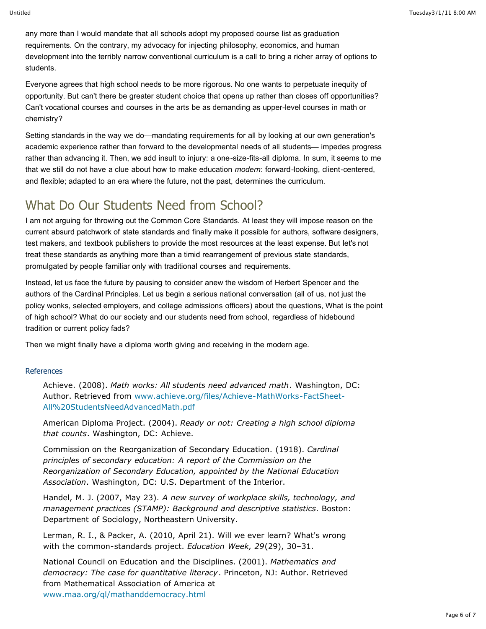any more than I would mandate that all schools adopt my proposed course list as graduation requirements. On the contrary, my advocacy for injecting philosophy, economics, and human development into the terribly narrow conventional curriculum is a call to bring a richer array of options to students.

Everyone agrees that high school needs to be more rigorous. No one wants to perpetuate inequity of opportunity. But can't there be greater student choice that opens up rather than closes off opportunities? Can't vocational courses and courses in the arts be as demanding as upper-level courses in math or chemistry?

Setting standards in the way we do—mandating requirements for all by looking at our own generation's academic experience rather than forward to the developmental needs of all students— impedes progress rather than advancing it. Then, we add insult to injury: a one-size-fits-all diploma. In sum, it seems to me that we still do not have a clue about how to make education *modern*: forward-looking, client-centered, and flexible; adapted to an era where the future, not the past, determines the curriculum.

## What Do Our Students Need from School?

I am not arguing for throwing out the Common Core Standards. At least they will impose reason on the current absurd patchwork of state standards and finally make it possible for authors, software designers, test makers, and textbook publishers to provide the most resources at the least expense. But let's not treat these standards as anything more than a timid rearrangement of previous state standards, promulgated by people familiar only with traditional courses and requirements.

Instead, let us face the future by pausing to consider anew the wisdom of Herbert Spencer and the authors of the Cardinal Principles. Let us begin a serious national conversation (all of us, not just the policy wonks, selected employers, and college admissions officers) about the questions, What is the point of high school? What do our society and our students need from school, regardless of hidebound tradition or current policy fads?

Then we might finally have a diploma worth giving and receiving in the modern age.

#### **References**

Achieve. (2008). *Math works: All students need advanced math*. Washington, DC: [Author. Retrieved from www.achieve.org/files/Achieve-MathWorks-FactSheet-](http://www.achieve.org/files/Achieve-MathWorks-FactSheet-All%20StudentsNeedAdvancedMath.pdf)All%20StudentsNeedAdvancedMath.pdf

American Diploma Project. (2004). *Ready or not: Creating a high school diploma that counts*. Washington, DC: Achieve.

Commission on the Reorganization of Secondary Education. (1918). *Cardinal principles of secondary education: A report of the Commission on the Reorganization of Secondary Education, appointed by the National Education Association*. Washington, DC: U.S. Department of the Interior.

Handel, M. J. (2007, May 23). *A new survey of workplace skills, technology, and management practices (STAMP): Background and descriptive statistics*. Boston: Department of Sociology, Northeastern University.

Lerman, R. I., & Packer, A. (2010, April 21). Will we ever learn? What's wrong with the common-standards project. *Education Week, 29*(29), 30–31.

National Council on Education and the Disciplines. (2001). *Mathematics and democracy: The case for quantitative literacy*. Princeton, NJ: Author. Retrieved from Mathematical Association of America at [www.maa.org/ql/mathanddemocracy.html](http://www.maa.org/ql/mathanddemocracy.html)